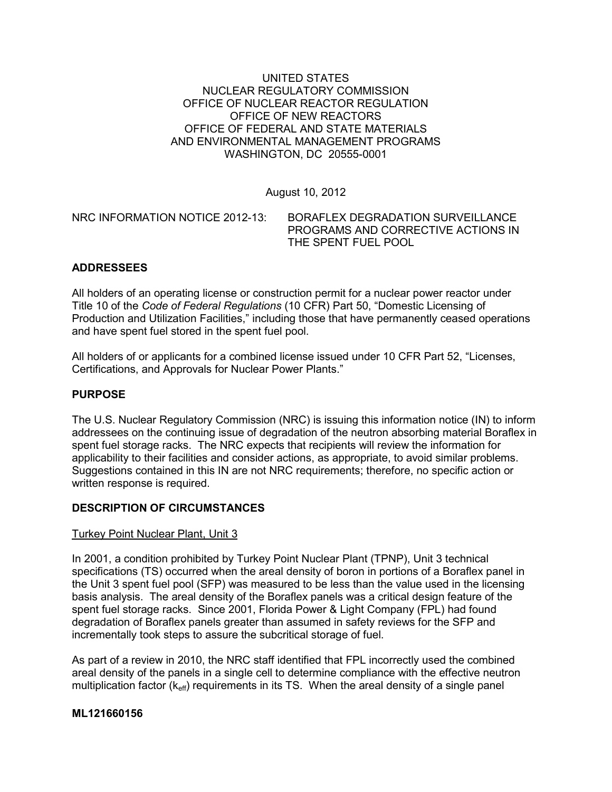### UNITED STATES NUCLEAR REGULATORY COMMISSION OFFICE OF NUCLEAR REACTOR REGULATION OFFICE OF NEW REACTORS OFFICE OF FEDERAL AND STATE MATERIALS AND ENVIRONMENTAL MANAGEMENT PROGRAMS WASHINGTON, DC 20555-0001

August 10, 2012

NRC INFORMATION NOTICE 2012-13: BORAFLEX DEGRADATION SURVEILLANCE PROGRAMS AND CORRECTIVE ACTIONS IN

# THE SPENT FUEL POOL

# **ADDRESSEES**

All holders of an operating license or construction permit for a nuclear power reactor under Title 10 of the *Code of Federal Regulations* (10 CFR) Part 50, "Domestic Licensing of Production and Utilization Facilities," including those that have permanently ceased operations and have spent fuel stored in the spent fuel pool.

All holders of or applicants for a combined license issued under 10 CFR Part 52, "Licenses, Certifications, and Approvals for Nuclear Power Plants."

# **PURPOSE**

The U.S. Nuclear Regulatory Commission (NRC) is issuing this information notice (IN) to inform addressees on the continuing issue of degradation of the neutron absorbing material Boraflex in spent fuel storage racks. The NRC expects that recipients will review the information for applicability to their facilities and consider actions, as appropriate, to avoid similar problems. Suggestions contained in this IN are not NRC requirements; therefore, no specific action or written response is required.

# **DESCRIPTION OF CIRCUMSTANCES**

# Turkey Point Nuclear Plant, Unit 3

In 2001, a condition prohibited by Turkey Point Nuclear Plant (TPNP), Unit 3 technical specifications (TS) occurred when the areal density of boron in portions of a Boraflex panel in the Unit 3 spent fuel pool (SFP) was measured to be less than the value used in the licensing basis analysis. The areal density of the Boraflex panels was a critical design feature of the spent fuel storage racks. Since 2001, Florida Power & Light Company (FPL) had found degradation of Boraflex panels greater than assumed in safety reviews for the SFP and incrementally took steps to assure the subcritical storage of fuel.

As part of a review in 2010, the NRC staff identified that FPL incorrectly used the combined areal density of the panels in a single cell to determine compliance with the effective neutron multiplication factor  $(k<sub>eff</sub>)$  requirements in its TS. When the areal density of a single panel

# **ML121660156**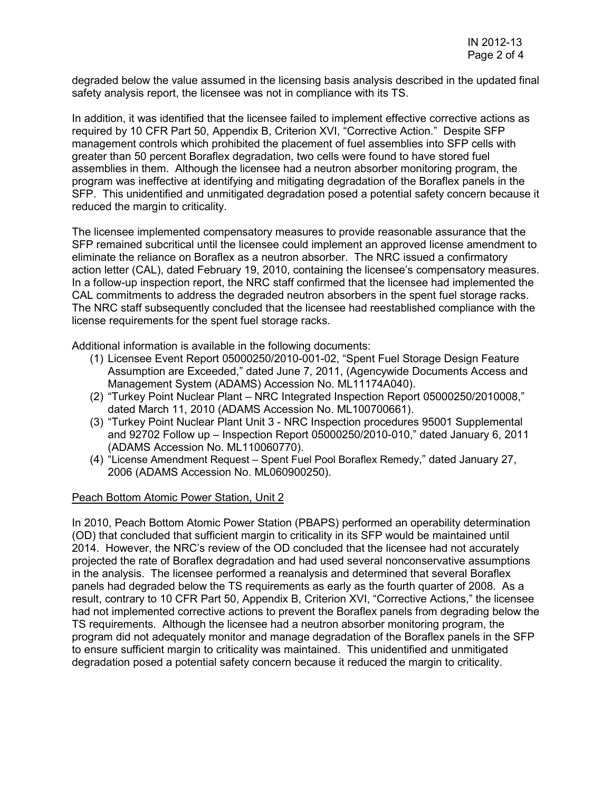degraded below the value assumed in the licensing basis analysis described in the updated final safety analysis report, the licensee was not in compliance with its TS.

In addition, it was identified that the licensee failed to implement effective corrective actions as required by 10 CFR Part 50, Appendix B, Criterion XVI, "Corrective Action." Despite SFP management controls which prohibited the placement of fuel assemblies into SFP cells with greater than 50 percent Boraflex degradation, two cells were found to have stored fuel assemblies in them. Although the licensee had a neutron absorber monitoring program, the program was ineffective at identifying and mitigating degradation of the Boraflex panels in the SFP. This unidentified and unmitigated degradation posed a potential safety concern because it reduced the margin to criticality.

The licensee implemented compensatory measures to provide reasonable assurance that the SFP remained subcritical until the licensee could implement an approved license amendment to eliminate the reliance on Boraflex as a neutron absorber. The NRC issued a confirmatory action letter (CAL), dated February 19, 2010, containing the licensee's compensatory measures. In a follow-up inspection report, the NRC staff confirmed that the licensee had implemented the CAL commitments to address the degraded neutron absorbers in the spent fuel storage racks. The NRC staff subsequently concluded that the licensee had reestablished compliance with the license requirements for the spent fuel storage racks.

Additional information is available in the following documents:

- (1) Licensee Event Report 05000250/2010-001-02, "Spent Fuel Storage Design Feature Assumption are Exceeded," dated June 7, 2011, (Agencywide Documents Access and Management System (ADAMS) Accession No. ML11174A040).
- (2) "Turkey Point Nuclear Plant NRC Integrated Inspection Report 05000250/2010008," dated March 11, 2010 (ADAMS Accession No. ML100700661).
- (3) "Turkey Point Nuclear Plant Unit 3 NRC Inspection procedures 95001 Supplemental and 92702 Follow up – Inspection Report 05000250/2010-010," dated January 6, 2011 (ADAMS Accession No. ML110060770).
- (4) "License Amendment Request Spent Fuel Pool Boraflex Remedy," dated January 27, 2006 (ADAMS Accession No. ML060900250).

#### Peach Bottom Atomic Power Station, Unit 2

In 2010, Peach Bottom Atomic Power Station (PBAPS) performed an operability determination (OD) that concluded that sufficient margin to criticality in its SFP would be maintained until 2014. However, the NRC's review of the OD concluded that the licensee had not accurately projected the rate of Boraflex degradation and had used several nonconservative assumptions in the analysis. The licensee performed a reanalysis and determined that several Boraflex panels had degraded below the TS requirements as early as the fourth quarter of 2008. As a result, contrary to 10 CFR Part 50, Appendix B, Criterion XVI, "Corrective Actions," the licensee had not implemented corrective actions to prevent the Boraflex panels from degrading below the TS requirements. Although the licensee had a neutron absorber monitoring program, the program did not adequately monitor and manage degradation of the Boraflex panels in the SFP to ensure sufficient margin to criticality was maintained. This unidentified and unmitigated degradation posed a potential safety concern because it reduced the margin to criticality.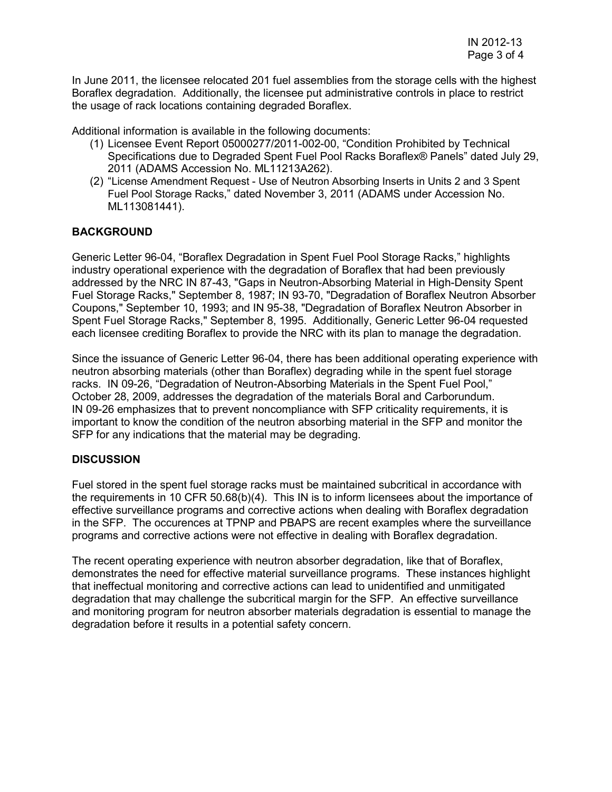In June 2011, the licensee relocated 201 fuel assemblies from the storage cells with the highest Boraflex degradation. Additionally, the licensee put administrative controls in place to restrict the usage of rack locations containing degraded Boraflex.

Additional information is available in the following documents:

- (1) Licensee Event Report 05000277/2011-002-00, "Condition Prohibited by Technical Specifications due to Degraded Spent Fuel Pool Racks Boraflex® Panels" dated July 29, 2011 (ADAMS Accession No. ML11213A262).
- (2) "License Amendment Request Use of Neutron Absorbing Inserts in Units 2 and 3 Spent Fuel Pool Storage Racks," dated November 3, 2011 (ADAMS under Accession No. ML113081441).

### **BACKGROUND**

Generic Letter 96-04, "Boraflex Degradation in Spent Fuel Pool Storage Racks," highlights industry operational experience with the degradation of Boraflex that had been previously addressed by the NRC IN 87-43, "Gaps in Neutron-Absorbing Material in High-Density Spent Fuel Storage Racks," September 8, 1987; IN 93-70, "Degradation of Boraflex Neutron Absorber Coupons," September 10, 1993; and IN 95-38, "Degradation of Boraflex Neutron Absorber in Spent Fuel Storage Racks," September 8, 1995. Additionally, Generic Letter 96-04 requested each licensee crediting Boraflex to provide the NRC with its plan to manage the degradation.

Since the issuance of Generic Letter 96-04, there has been additional operating experience with neutron absorbing materials (other than Boraflex) degrading while in the spent fuel storage racks. IN 09-26, "Degradation of Neutron-Absorbing Materials in the Spent Fuel Pool," October 28, 2009, addresses the degradation of the materials Boral and Carborundum. IN 09-26 emphasizes that to prevent noncompliance with SFP criticality requirements, it is important to know the condition of the neutron absorbing material in the SFP and monitor the SFP for any indications that the material may be degrading.

#### **DISCUSSION**

Fuel stored in the spent fuel storage racks must be maintained subcritical in accordance with the requirements in 10 CFR 50.68(b)(4). This IN is to inform licensees about the importance of effective surveillance programs and corrective actions when dealing with Boraflex degradation in the SFP. The occurences at TPNP and PBAPS are recent examples where the surveillance programs and corrective actions were not effective in dealing with Boraflex degradation.

The recent operating experience with neutron absorber degradation, like that of Boraflex, demonstrates the need for effective material surveillance programs. These instances highlight that ineffectual monitoring and corrective actions can lead to unidentified and unmitigated degradation that may challenge the subcritical margin for the SFP. An effective surveillance and monitoring program for neutron absorber materials degradation is essential to manage the degradation before it results in a potential safety concern.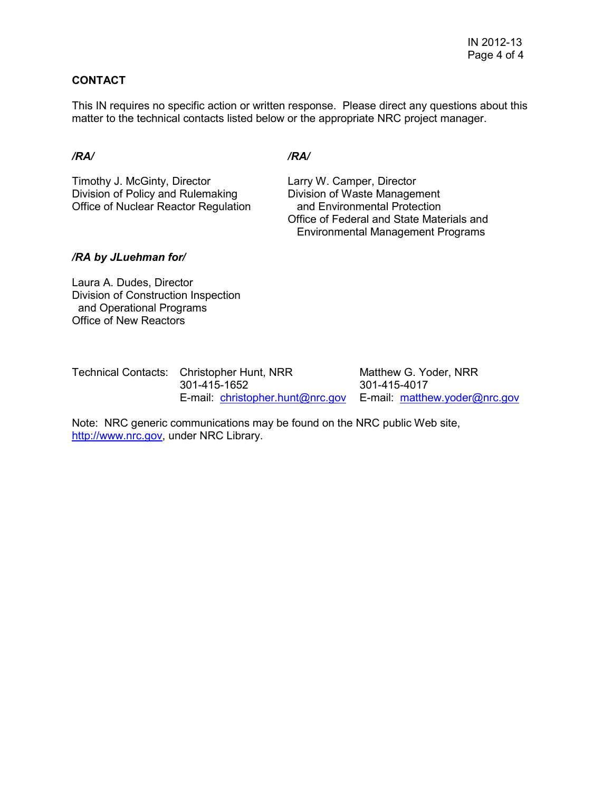# **CONTACT**

This IN requires no specific action or written response. Please direct any questions about this matter to the technical contacts listed below or the appropriate NRC project manager.

#### */RA/ /RA/*

Timothy J. McGinty, Director Larry W. Camper, Director Division of Policy and Rulemaking Division of Waste Management Office of Nuclear Reactor Regulation and Environmental Protection

 Office of Federal and State Materials and Environmental Management Programs

### */RA by JLuehman for/*

Laura A. Dudes, Director Division of Construction Inspection and Operational Programs Office of New Reactors

| Technical Contacts: Christopher Hunt, NRR                      | Matthew G. Yoder, NRR |  |
|----------------------------------------------------------------|-----------------------|--|
| 301-415-1652                                                   | 301-415-4017          |  |
| E-mail: christopher.hunt@nrc.gov E-mail: matthew.yoder@nrc.gov |                       |  |

Note: NRC generic communications may be found on the NRC public Web site, http://www.nrc.gov, under NRC Library.